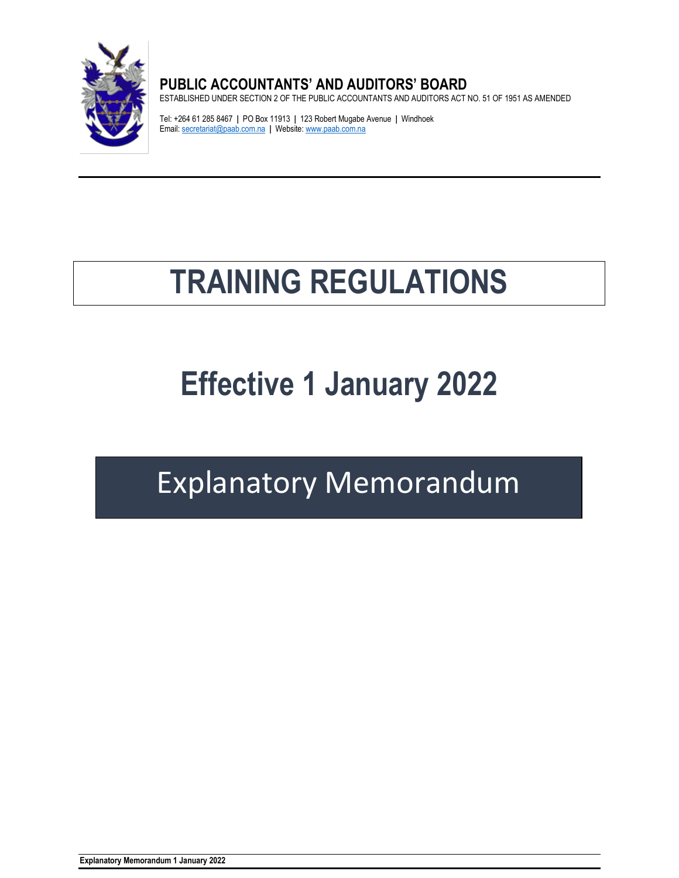

# **PUBLIC ACCOUNTANTS' AND AUDITORS' BOARD**

ESTABLISHED UNDER SECTION 2 OF THE PUBLIC ACCOUNTANTS AND AUDITORS ACT NO. 51 OF 1951 AS AMENDED

Tel: +264 61 285 8467 **|** PO Box 11913 **|** 123 Robert Mugabe Avenue **|** Windhoek Email[: secretariat@paab.com.na](mailto:secretariat@paab.com.na) **|** Website[: www.paab.com.na](http://www.paab.com.na/)

# **TRAINING REGULATIONS**

# **Effective 1 January 2022**

# Explanatory Memorandum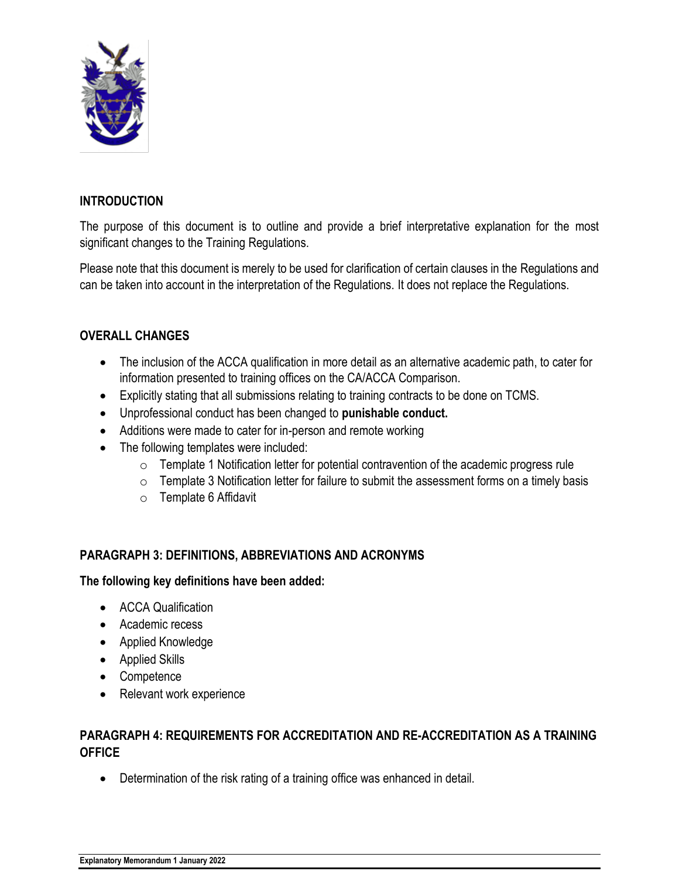

#### **INTRODUCTION**

The purpose of this document is to outline and provide a brief interpretative explanation for the most significant changes to the Training Regulations.

Please note that this document is merely to be used for clarification of certain clauses in the Regulations and can be taken into account in the interpretation of the Regulations. It does not replace the Regulations.

#### **OVERALL CHANGES**

- The inclusion of the ACCA qualification in more detail as an alternative academic path, to cater for information presented to training offices on the CA/ACCA Comparison.
- Explicitly stating that all submissions relating to training contracts to be done on TCMS.
- Unprofessional conduct has been changed to **punishable conduct.**
- Additions were made to cater for in-person and remote working
- The following templates were included:
	- $\circ$  Template 1 Notification letter for potential contravention of the academic progress rule
	- $\circ$  Template 3 Notification letter for failure to submit the assessment forms on a timely basis
	- o Template 6 Affidavit

#### **PARAGRAPH 3: DEFINITIONS, ABBREVIATIONS AND ACRONYMS**

#### **The following key definitions have been added:**

- ACCA Qualification
- Academic recess
- Applied Knowledge
- Applied Skills
- Competence
- Relevant work experience

#### **PARAGRAPH 4: REQUIREMENTS FOR ACCREDITATION AND RE-ACCREDITATION AS A TRAINING OFFICE**

• Determination of the risk rating of a training office was enhanced in detail.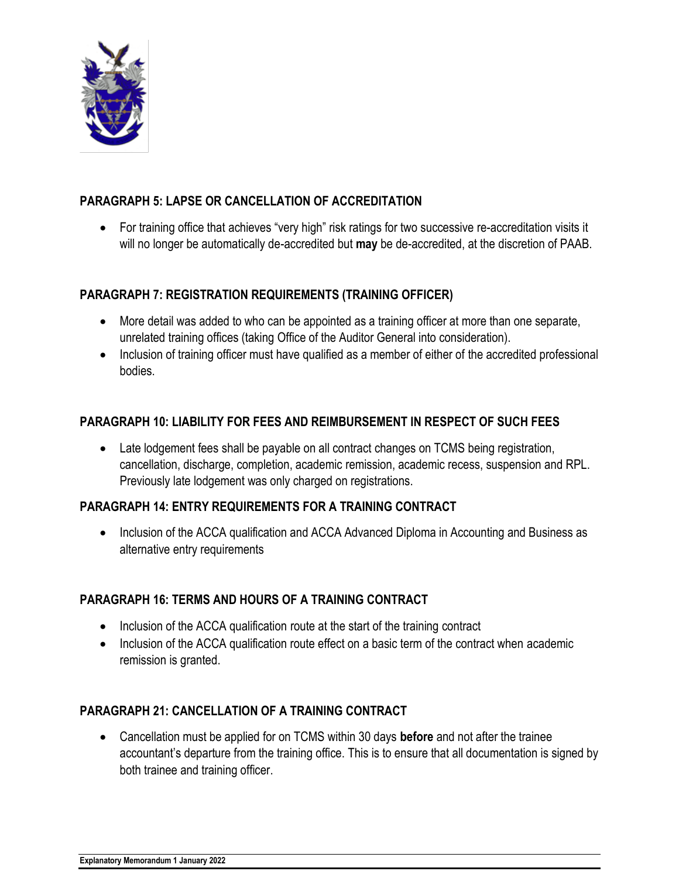

#### **PARAGRAPH 5: LAPSE OR CANCELLATION OF ACCREDITATION**

• For training office that achieves "very high" risk ratings for two successive re-accreditation visits it will no longer be automatically de-accredited but **may** be de-accredited, at the discretion of PAAB.

#### **PARAGRAPH 7: REGISTRATION REQUIREMENTS (TRAINING OFFICER)**

- More detail was added to who can be appointed as a training officer at more than one separate, unrelated training offices (taking Office of the Auditor General into consideration).
- Inclusion of training officer must have qualified as a member of either of the accredited professional bodies.

#### **PARAGRAPH 10: LIABILITY FOR FEES AND REIMBURSEMENT IN RESPECT OF SUCH FEES**

• Late lodgement fees shall be payable on all contract changes on TCMS being registration, cancellation, discharge, completion, academic remission, academic recess, suspension and RPL. Previously late lodgement was only charged on registrations.

#### **PARAGRAPH 14: ENTRY REQUIREMENTS FOR A TRAINING CONTRACT**

• Inclusion of the ACCA qualification and ACCA Advanced Diploma in Accounting and Business as alternative entry requirements

#### **PARAGRAPH 16: TERMS AND HOURS OF A TRAINING CONTRACT**

- Inclusion of the ACCA qualification route at the start of the training contract
- Inclusion of the ACCA qualification route effect on a basic term of the contract when academic remission is granted.

#### **PARAGRAPH 21: CANCELLATION OF A TRAINING CONTRACT**

• Cancellation must be applied for on TCMS within 30 days **before** and not after the trainee accountant's departure from the training office. This is to ensure that all documentation is signed by both trainee and training officer.